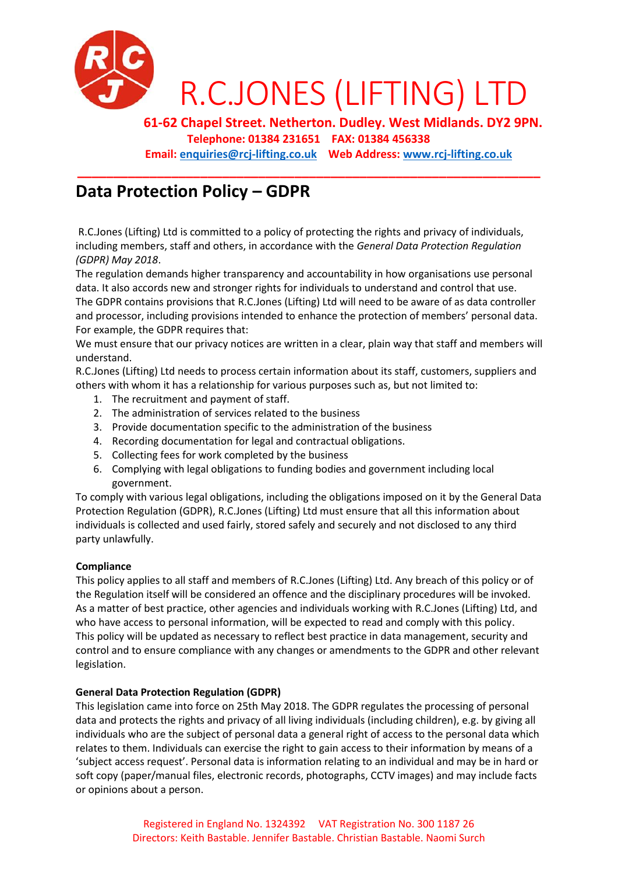

**61-62 Chapel Street. Netherton. Dudley. West Midlands. DY2 9PN. Telephone: 01384 231651 FAX: 01384 456338 Email: enquiries@rcj-lifting.co.uk Web Address: www.rcj-lifting.co.uk**

**\_\_\_\_\_\_\_\_\_\_\_\_\_\_\_\_\_\_\_\_\_\_\_\_\_\_\_\_\_\_\_\_\_\_\_\_\_\_\_\_\_\_\_\_\_\_\_\_\_\_\_\_\_\_\_\_\_\_\_\_\_\_\_\_**

# **Data Protection Policy – GDPR**

R.C.Jones (Lifting) Ltd is committed to a policy of protecting the rights and privacy of individuals, including members, staff and others, in accordance with the *General Data Protection Regulation (GDPR) May 2018*.

The regulation demands higher transparency and accountability in how organisations use personal data. It also accords new and stronger rights for individuals to understand and control that use. The GDPR contains provisions that R.C.Jones (Lifting) Ltd will need to be aware of as data controller and processor, including provisions intended to enhance the protection of members' personal data. For example, the GDPR requires that:

We must ensure that our privacy notices are written in a clear, plain way that staff and members will understand.

R.C.Jones (Lifting) Ltd needs to process certain information about its staff, customers, suppliers and others with whom it has a relationship for various purposes such as, but not limited to:

- 1. The recruitment and payment of staff.
- 2. The administration of services related to the business
- 3. Provide documentation specific to the administration of the business
- 4. Recording documentation for legal and contractual obligations.
- 5. Collecting fees for work completed by the business
- 6. Complying with legal obligations to funding bodies and government including local government.

To comply with various legal obligations, including the obligations imposed on it by the General Data Protection Regulation (GDPR), R.C.Jones (Lifting) Ltd must ensure that all this information about individuals is collected and used fairly, stored safely and securely and not disclosed to any third party unlawfully.

# **Compliance**

This policy applies to all staff and members of R.C.Jones (Lifting) Ltd. Any breach of this policy or of the Regulation itself will be considered an offence and the disciplinary procedures will be invoked. As a matter of best practice, other agencies and individuals working with R.C.Jones (Lifting) Ltd, and who have access to personal information, will be expected to read and comply with this policy. This policy will be updated as necessary to reflect best practice in data management, security and control and to ensure compliance with any changes or amendments to the GDPR and other relevant legislation.

# **General Data Protection Regulation (GDPR)**

This legislation came into force on 25th May 2018. The GDPR regulates the processing of personal data and protects the rights and privacy of all living individuals (including children), e.g. by giving all individuals who are the subject of personal data a general right of access to the personal data which relates to them. Individuals can exercise the right to gain access to their information by means of a 'subject access request'. Personal data is information relating to an individual and may be in hard or soft copy (paper/manual files, electronic records, photographs, CCTV images) and may include facts or opinions about a person.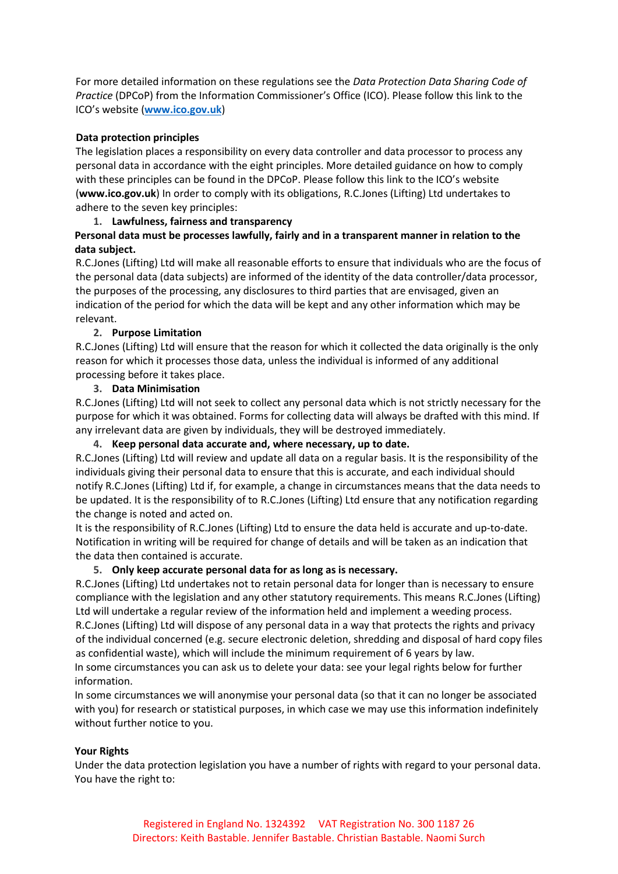For more detailed information on these regulations see the *Data Protection Data Sharing Code of Practice* (DPCoP) from the Information Commissioner's Office (ICO). Please follow this link to the ICO's website (**www.ico.gov.uk**)

## **Data protection principles**

The legislation places a responsibility on every data controller and data processor to process any personal data in accordance with the eight principles. More detailed guidance on how to comply with these principles can be found in the DPCoP. Please follow this link to the ICO's website (**www.ico.gov.uk**) In order to comply with its obligations, R.C.Jones (Lifting) Ltd undertakes to adhere to the seven key principles:

## **1. Lawfulness, fairness and transparency**

# **Personal data must be processes lawfully, fairly and in a transparent manner in relation to the data subject.**

R.C.Jones (Lifting) Ltd will make all reasonable efforts to ensure that individuals who are the focus of the personal data (data subjects) are informed of the identity of the data controller/data processor, the purposes of the processing, any disclosures to third parties that are envisaged, given an indication of the period for which the data will be kept and any other information which may be relevant.

## **2. Purpose Limitation**

R.C.Jones (Lifting) Ltd will ensure that the reason for which it collected the data originally is the only reason for which it processes those data, unless the individual is informed of any additional processing before it takes place.

## **3. Data Minimisation**

R.C.Jones (Lifting) Ltd will not seek to collect any personal data which is not strictly necessary for the purpose for which it was obtained. Forms for collecting data will always be drafted with this mind. If any irrelevant data are given by individuals, they will be destroyed immediately.

# **4. Keep personal data accurate and, where necessary, up to date.**

R.C.Jones (Lifting) Ltd will review and update all data on a regular basis. It is the responsibility of the individuals giving their personal data to ensure that this is accurate, and each individual should notify R.C.Jones (Lifting) Ltd if, for example, a change in circumstances means that the data needs to be updated. It is the responsibility of to R.C.Jones (Lifting) Ltd ensure that any notification regarding the change is noted and acted on.

It is the responsibility of R.C.Jones (Lifting) Ltd to ensure the data held is accurate and up-to-date. Notification in writing will be required for change of details and will be taken as an indication that the data then contained is accurate.

# **5. Only keep accurate personal data for as long as is necessary.**

R.C.Jones (Lifting) Ltd undertakes not to retain personal data for longer than is necessary to ensure compliance with the legislation and any other statutory requirements. This means R.C.Jones (Lifting) Ltd will undertake a regular review of the information held and implement a weeding process. R.C.Jones (Lifting) Ltd will dispose of any personal data in a way that protects the rights and privacy of the individual concerned (e.g. secure electronic deletion, shredding and disposal of hard copy files as confidential waste), which will include the minimum requirement of 6 years by law. In some circumstances you can ask us to delete your data: see your legal rights below for further information.

In some circumstances we will anonymise your personal data (so that it can no longer be associated with you) for research or statistical purposes, in which case we may use this information indefinitely without further notice to you.

## **Your Rights**

Under the data protection legislation you have a number of rights with regard to your personal data. You have the right to: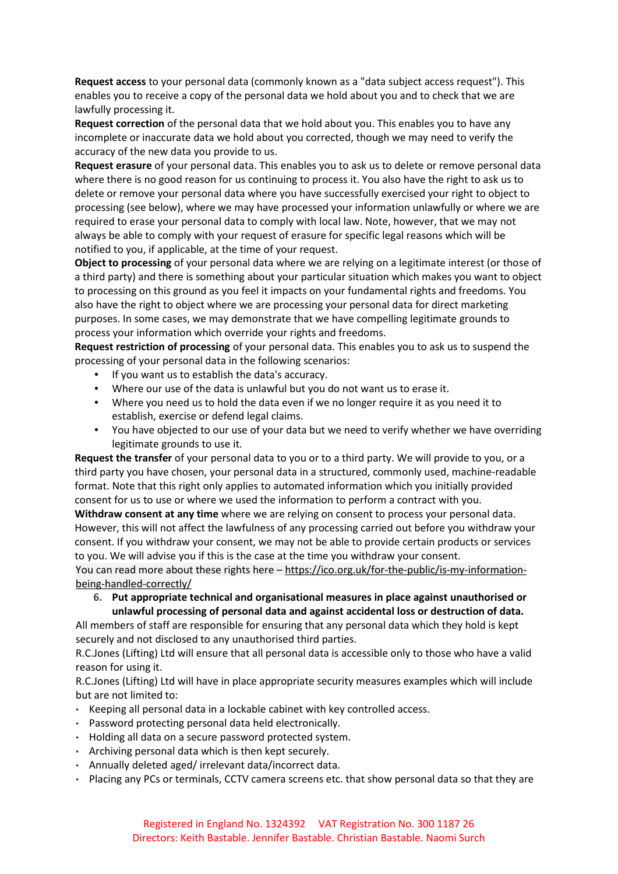**Request access** to your personal data (commonly known as a "data subject access request"). This enables you to receive a copy of the personal data we hold about you and to check that we are lawfully processing it.

**Request correction** of the personal data that we hold about you. This enables you to have any incomplete or inaccurate data we hold about you corrected, though we may need to verify the accuracy of the new data you provide to us.

**Request erasure** of your personal data. This enables you to ask us to delete or remove personal data where there is no good reason for us continuing to process it. You also have the right to ask us to delete or remove your personal data where you have successfully exercised your right to object to processing (see below), where we may have processed your information unlawfully or where we are required to erase your personal data to comply with local law. Note, however, that we may not always be able to comply with your request of erasure for specific legal reasons which will be notified to you, if applicable, at the time of your request.

**Object to processing** of your personal data where we are relying on a legitimate interest (or those of a third party) and there is something about your particular situation which makes you want to object to processing on this ground as you feel it impacts on your fundamental rights and freedoms. You also have the right to object where we are processing your personal data for direct marketing purposes. In some cases, we may demonstrate that we have compelling legitimate grounds to process your information which override your rights and freedoms.

**Request restriction of processing** of your personal data. This enables you to ask us to suspend the processing of your personal data in the following scenarios:

- If you want us to establish the data's accuracy.
- Where our use of the data is unlawful but you do not want us to erase it.
- Where you need us to hold the data even if we no longer require it as you need it to establish, exercise or defend legal claims.
- You have objected to our use of your data but we need to verify whether we have overriding legitimate grounds to use it.

**Request the transfer** of your personal data to you or to a third party. We will provide to you, or a third party you have chosen, your personal data in a structured, commonly used, machine-readable format. Note that this right only applies to automated information which you initially provided consent for us to use or where we used the information to perform a contract with you.

**Withdraw consent at any time** where we are relying on consent to process your personal data. However, this will not affect the lawfulness of any processing carried out before you withdraw your consent. If you withdraw your consent, we may not be able to provide certain products or services to you. We will advise you if this is the case at the time you withdraw your consent.

You can read more about these rights here – https://ico.org.uk/for-the-public/is-my-information being-handled-correctly/

**6. Put appropriate technical and organisational measures in place against unauthorised or unlawful processing of personal data and against accidental loss or destruction of data.**

All members of staff are responsible for ensuring that any personal data which they hold is kept securely and not disclosed to any unauthorised third parties.

R.C.Jones (Lifting) Ltd will ensure that all personal data is accessible only to those who have a valid reason for using it.

R.C.Jones (Lifting) Ltd will have in place appropriate security measures examples which will include but are not limited to:

- Keeping all personal data in a lockable cabinet with key controlled access.
- Password protecting personal data held electronically.
- Holding all data on a secure password protected system.
- Archiving personal data which is then kept securely.
- Annually deleted aged/ irrelevant data/incorrect data.
- Placing any PCs or terminals, CCTV camera screens etc. that show personal data so that they are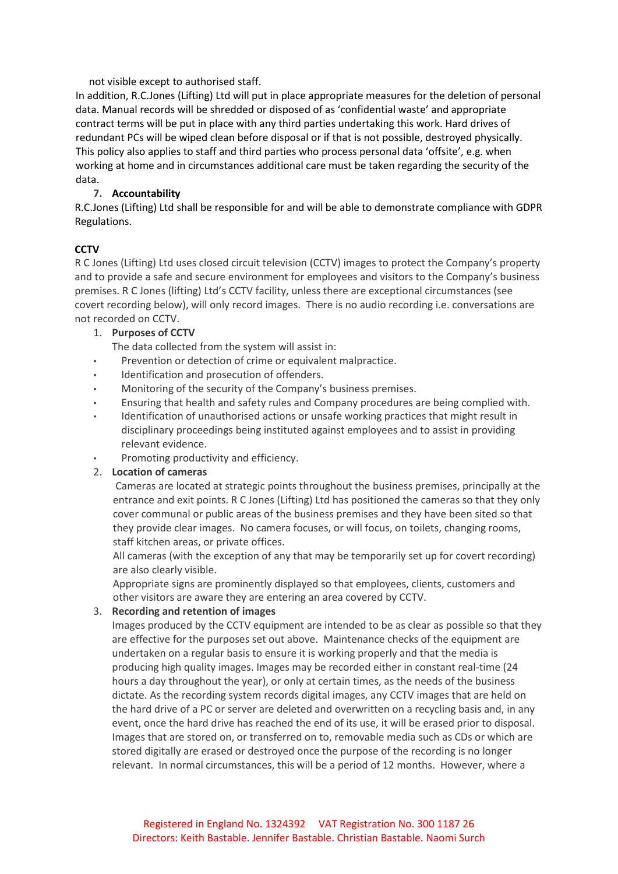## not visible except to authorised staff.

In addition, R.C.Jones (Lifting) Ltd will put in place appropriate measures for the deletion of personal data. Manual records will be shredded or disposed of as 'confidential waste' and appropriate contract terms will be put in place with any third parties undertaking this work. Hard drives of redundant PCs will be wiped clean before disposal or if that is not possible, destroyed physically. This policy also applies to staff and third parties who process personal data 'offsite', e.g. when working at home and in circumstances additional care must be taken regarding the security of the data.

## **7. Accountability**

R.C.Jones (Lifting) Ltd shall be responsible for and will be able to demonstrate compliance with GDPR Regulations.

#### **CCTV**

R C Jones (Lifting) Ltd uses closed circuit television (CCTV) images to protect the Company's property and to provide a safe and secure environment for employees and visitors to the Company's business premises. R C Jones (lifting) Ltd's CCTV facility, unless there are exceptional circumstances (see covert recording below), will only record images. There is no audio recording i.e. conversations are not recorded on CCTV.

#### 1. **Purposes of CCTV**

The data collected from the system will assist in:

- Prevention or detection of crime or equivalent malpractice.
- Identification and prosecution of offenders.
- Monitoring of the security of the Company's business premises.
- Ensuring that health and safety rules and Company procedures are being complied with.
- Identification of unauthorised actions or unsafe working practices that might result in disciplinary proceedings being instituted against employees and to assist in providing relevant evidence.
- Promoting productivity and efficiency.
- 2. **Location of cameras**

Cameras are located at strategic points throughout the business premises, principally at the entrance and exit points. R C Jones (Lifting) Ltd has positioned the cameras so that they only cover communal or public areas of the business premises and they have been sited so that they provide clear images. No camera focuses, or will focus, on toilets, changing rooms, staff kitchen areas, or private offices.

All cameras (with the exception of any that may be temporarily set up for covert recording) are also clearly visible.

Appropriate signs are prominently displayed so that employees, clients, customers and other visitors are aware they are entering an area covered by CCTV.

#### 3. **Recording and retention of images**

Images produced by the CCTV equipment are intended to be as clear as possible so that they are effective for the purposes set out above. Maintenance checks of the equipment are undertaken on a regular basis to ensure it is working properly and that the media is producing high quality images. Images may be recorded either in constant real-time (24 hours a day throughout the year), or only at certain times, as the needs of the business dictate. As the recording system records digital images, any CCTV images that are held on the hard drive of a PC or server are deleted and overwritten on a recycling basis and, in any event, once the hard drive has reached the end of its use, it will be erased prior to disposal. Images that are stored on, or transferred on to, removable media such as CDs or which are stored digitally are erased or destroyed once the purpose of the recording is no longer relevant. In normal circumstances, this will be a period of 12 months. However, where a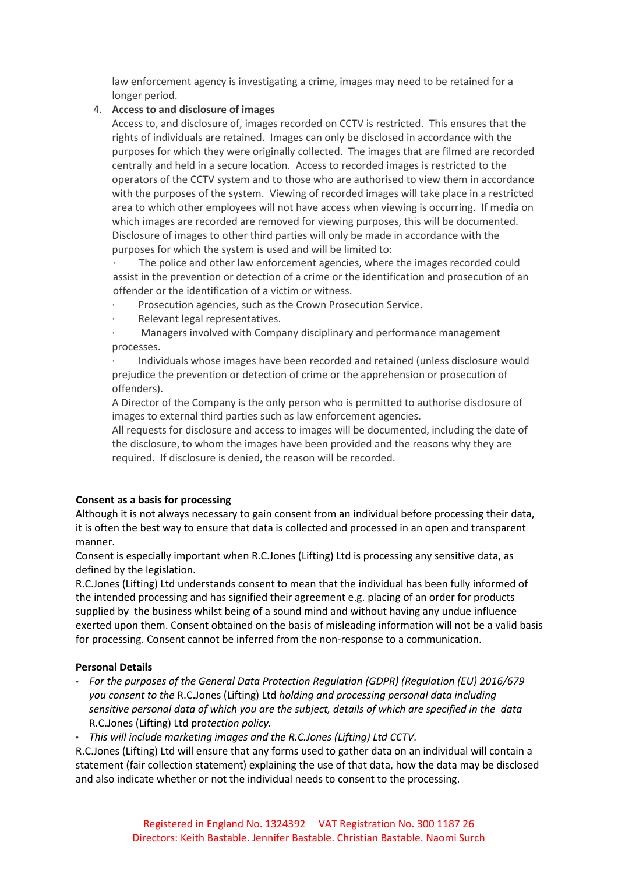law enforcement agency is investigating a crime, images may need to be retained for a longer period.

## 4. **Access to and disclosure of images**

Access to, and disclosure of, images recorded on CCTV is restricted. This ensures that the rights of individuals are retained. Images can only be disclosed in accordance with the purposes for which they were originally collected. The images that are filmed are recorded centrally and held in a secure location. Access to recorded images is restricted to the operators of the CCTV system and to those who are authorised to view them in accordance with the purposes of the system. Viewing of recorded images will take place in a restricted area to which other employees will not have access when viewing is occurring. If media on which images are recorded are removed for viewing purposes, this will be documented. Disclosure of images to other third parties will only be made in accordance with the purposes for which the system is used and will be limited to:

The police and other law enforcement agencies, where the images recorded could assist in the prevention or detection of a crime or the identification and prosecution of an offender or the identification of a victim or witness.

Prosecution agencies, such as the Crown Prosecution Service.

Relevant legal representatives.

· Managers involved with Company disciplinary and performance management processes.

· Individuals whose images have been recorded and retained (unless disclosure would prejudice the prevention or detection of crime or the apprehension or prosecution of offenders).

A Director of the Company is the only person who is permitted to authorise disclosure of images to external third parties such as law enforcement agencies.

All requests for disclosure and access to images will be documented, including the date of the disclosure, to whom the images have been provided and the reasons why they are required. If disclosure is denied, the reason will be recorded.

## **Consent as a basis for processing**

Although it is not always necessary to gain consent from an individual before processing their data, it is often the best way to ensure that data is collected and processed in an open and transparent manner.

Consent is especially important when R.C.Jones (Lifting) Ltd is processing any sensitive data, as defined by the legislation.

R.C.Jones (Lifting) Ltd understands consent to mean that the individual has been fully informed of the intended processing and has signified their agreement e.g. placing of an order for products supplied by the business whilst being of a sound mind and without having any undue influence exerted upon them. Consent obtained on the basis of misleading information will not be a valid basis for processing. Consent cannot be inferred from the non-response to a communication.

# **Personal Details**

- *For the purposes of the General Data Protection Regulation (GDPR) (Regulation (EU) 2016/679 you consent to the* R.C.Jones (Lifting) Ltd *holding and processing personal data including sensitive personal data of which you are the subject, details of which are specified in the data* R.C.Jones (Lifting) Ltd pro*tection policy.*
- *This will include marketing images and the R.C.Jones (Lifting) Ltd CCTV.*

R.C.Jones (Lifting) Ltd will ensure that any forms used to gather data on an individual will contain a statement (fair collection statement) explaining the use of that data, how the data may be disclosed and also indicate whether or not the individual needs to consent to the processing.